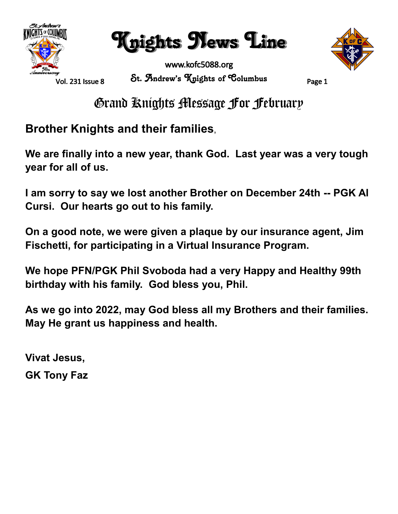

Knights News Line



www.kofc5088.org St. Andrew's Knights of Columbus Page 1

Grand Knights Message For February

**Brother Knights and their families**,

**We are finally into a new year, thank God. Last year was a very tough year for all of us.**

**I am sorry to say we lost another Brother on December 24th -- PGK Al Cursi. Our hearts go out to his family.**

**On a good note, we were given a plaque by our insurance agent, Jim Fischetti, for participating in a Virtual Insurance Program.**

**We hope PFN/PGK Phil Svoboda had a very Happy and Healthy 99th birthday with his family. God bless you, Phil.**

**As we go into 2022, may God bless all my Brothers and their families. May He grant us happiness and health.**

**Vivat Jesus, GK Tony Faz**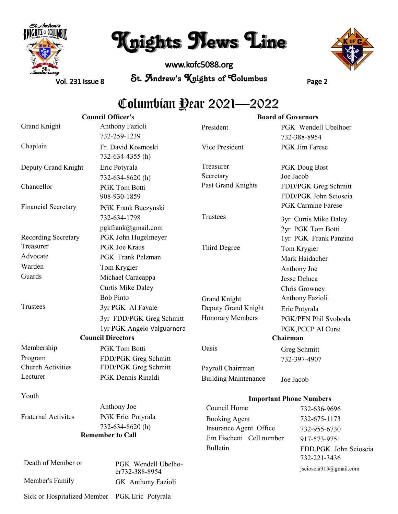

# Knights News Line

www.kofc5088.org St. Andrew's Knights of Columbus Page 2



Vol. 231 Issue 8

## Columbian Year 2021—2022

| <b>Council Officer's</b>    |                                           | <b>Board of Governors</b>   |                                               |
|-----------------------------|-------------------------------------------|-----------------------------|-----------------------------------------------|
| <b>Grand Knight</b>         | Anthony Fazioli<br>732-259-1239           | President                   | PGK Wendell Ubelhoer<br>732-388-8954          |
| Chaplain                    | Fr. David Kosmoski<br>732-634-4355 (h)    | Vice President              | <b>PGK</b> Jim Farese                         |
| Deputy Grand Knight         | Eric Potyrala                             | Treasurer                   | <b>PGK Doug Bost</b>                          |
|                             | 732-634-8620(h)                           | Secretary                   | Joe Jacob                                     |
| Chancellor                  | PGK Tom Botti<br>908-930-1859             | Past Grand Knights          | FDD/PGK Greg Schmitt<br>FDD/PGK John Scioscia |
| <b>Financial Secretary</b>  | PGK Frank Buczynski                       |                             | <b>PGK Carmine Farese</b>                     |
|                             | 732-634-1798                              | Trustees                    | 3yr Curtis Mike Daley                         |
| Recording Secretary         | pgkfrank@gmail.com<br>PGK John Hugelmeyer |                             | 2yr PGK Tom Botti<br>1yr PGK Frank Panzino    |
| Treasurer                   | <b>PGK</b> Joe Kraus                      | Third Degree                | Tom Krygier                                   |
| Advocate                    | PGK Frank Pelzman                         |                             | Mark Haidacher                                |
| Warden                      | Tom Krygier                               |                             | Anthony Joe                                   |
| Guards                      | Michael Caracappa                         |                             | Jesse Deluca                                  |
|                             | <b>Curtis Mike Daley</b>                  |                             | Chris Growney                                 |
|                             | <b>Bob Pinto</b>                          | <b>Grand Knight</b>         | Anthony Fazioli                               |
| Trustees                    | 3yr PGK Al Favale                         | Deputy Grand Knight         | Eric Potyrala                                 |
|                             | 3yr FDD/PGK Greg Schmitt                  | Honorary Members            | PGK/PFN Phil Svoboda                          |
|                             | 1yr PGK Angelo Valguarnera                |                             | PGK, PCCP Al Cursi                            |
|                             | <b>Council Directors</b>                  |                             | Chairman                                      |
| Membership                  | PGK Tom Botti                             | Oasis                       | Greg Schmitt                                  |
| Program                     | FDD/PGK Greg Schmitt                      |                             | 732-397-4907                                  |
| <b>Church Activities</b>    | FDD/PGK Greg Schmitt                      | Payroll Chairrman           |                                               |
| Lecturer                    | PGK Dennis Rinaldi                        | <b>Building Maintenance</b> | Joe Jacob                                     |
| Youth                       |                                           |                             | <b>Important Phone Numbers</b>                |
|                             | Anthony Joe                               | Council Home                | 732-636-9696                                  |
| <b>Fraternal Activites</b>  | PGK Eric Potyrala                         | <b>Booking Agent</b>        | 732-675-1173                                  |
|                             | 732-634-8620(h)                           | Insurance Agent Office      | 732-955-6730                                  |
| <b>Remember to Call</b>     |                                           | Jim Fischetti Cell number   | 917-573-9751                                  |
|                             |                                           | <b>Bulletin</b>             | FDD, PGK John Scioscia<br>732-221-3436        |
| Death of Member or          | PGK Wendell Ubelho-<br>er732-388-8954     |                             | jscioscia913@gmail.com                        |
| Member's Family             | GK Anthony Fazioli                        |                             |                                               |
| Sick or Hospitalized Member | PGK Eric Potyrala                         |                             |                                               |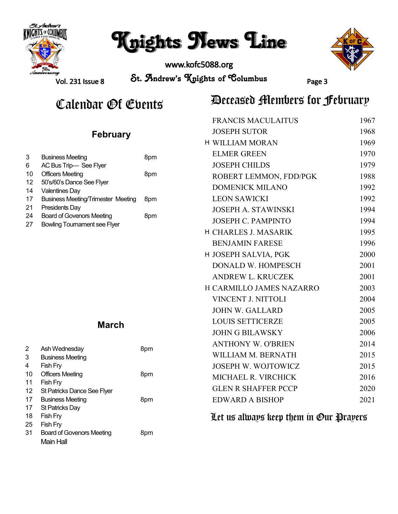

# Knights News Line

www.kofc5088.org



Vol. 231 Issue 8

St. Andrew's Knights of Columbus Page 3

## Calendar *Ot* Events **Deceased Alembers for February**

|                 |                                                                         |     | <b>FRANCIS MACULAITUS</b>   | 1967 |
|-----------------|-------------------------------------------------------------------------|-----|-----------------------------|------|
| <b>February</b> |                                                                         |     | <b>JOSEPH SUTOR</b>         | 1968 |
|                 |                                                                         |     | <b>H WILLIAM MORAN</b>      | 1969 |
| 3               | <b>Business Meeting</b>                                                 | 8pm | <b>ELMER GREEN</b>          | 1970 |
| 6               | AC Bus Trip- See Flyer                                                  |     | <b>JOSEPH CHILDS</b>        | 1979 |
| 10              | <b>Officers Meeting</b>                                                 | 8pm | ROBERT LEMMON, FDD/PGK      | 1988 |
| 12<br>14        | 50's/60's Dance See Flyer<br><b>Valentines Day</b>                      |     | <b>DOMENICK MILANO</b>      | 1992 |
| 17              | <b>Business Meeting/Trimester Meeting</b>                               | 8pm | <b>LEON SAWICKI</b>         | 1992 |
| 21              | Presidents Day                                                          | 8pm | <b>JOSEPH A. STAWINSKI</b>  | 1994 |
| 24<br>27        | <b>Board of Govenors Meeting</b><br><b>Bowling Tournament see Flyer</b> |     | <b>JOSEPH C. PAMPINTO</b>   | 1994 |
|                 |                                                                         |     | <b>H CHARLES J. MASARIK</b> | 1995 |
|                 |                                                                         |     | <b>BENJAMIN FARESE</b>      | 1996 |
|                 |                                                                         |     | H JOSEPH SALVIA, PGK        | 2000 |
|                 |                                                                         |     | DONALD W. HOMPESCH          | 2001 |
|                 |                                                                         |     | <b>ANDREW L. KRUCZEK</b>    | 2001 |
|                 |                                                                         |     | H CARMILLO JAMES NAZARRO    | 2003 |
|                 |                                                                         |     | VINCENT J. NITTOLI          | 2004 |
|                 |                                                                         |     | <b>JOHN W. GALLARD</b>      | 2005 |
| <b>March</b>    |                                                                         |     | <b>LOUIS SETTICERZE</b>     | 2005 |
|                 |                                                                         |     | <b>JOHN G BILAWSKY</b>      | 2006 |
| 2               |                                                                         |     | <b>ANTHONY W. O'BRIEN</b>   | 2014 |
| 3               | Ash Wednesday<br><b>Business Meeting</b>                                | 8pm | WILLIAM M. BERNATH          | 2015 |
| 4               | Fish Fry                                                                |     | JOSEPH W. WOJTOWICZ         | 2015 |
| 10              | <b>Officers Meeting</b>                                                 | 8pm | MICHAEL R. VIRCHICK         | 2016 |
| 11<br>12        | Fish Fry<br>St Patricks Dance See Flyer                                 |     | <b>GLEN R SHAFFER PCCP</b>  | 2020 |
| 17              | <b>Business Meeting</b>                                                 | 8pm | <b>EDWARD A BISHOP</b>      | 2021 |
| 17              | St Patricks Day                                                         |     |                             |      |
| 18<br>25        | Fish Fry<br>Let us always keep them in Our Prayers<br>Fish Fry          |     |                             |      |
|                 |                                                                         |     |                             |      |

31 Board of Govenors Meeting Main Hall 8pm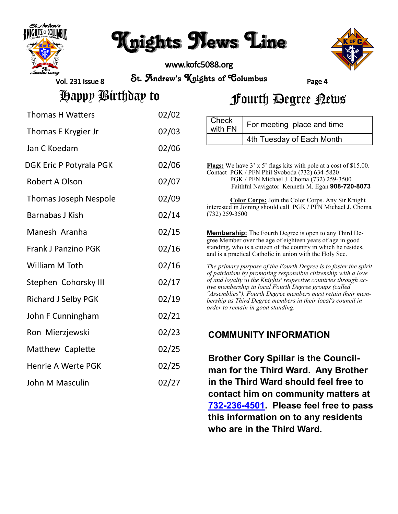

# Knights News Line

www.kofc5088.org



Vol. 231 Issue 8

St. Andrew's Knights of Columbus Page 4

**Check** 

Happy Birthday to

|  | Fourth Degree Rews |  |
|--|--------------------|--|
|--|--------------------|--|

4th Tuesday of Each Month

 $\frac{1}{2}$  For meeting place and time

| <b>Thomas H Watters</b>      | 02/02 |
|------------------------------|-------|
| Thomas E Krygier Jr          | 02/03 |
| Jan C Koedam                 | 02/06 |
| DGK Eric P Potyrala PGK      | 02/06 |
| <b>Robert A Olson</b>        | 02/07 |
| <b>Thomas Joseph Nespole</b> | 02/09 |
| Barnabas J Kish              | 02/14 |
| Manesh Aranha                | 02/15 |
| <b>Frank J Panzino PGK</b>   | 02/16 |
| William M Toth               | 02/16 |
| Stephen Cohorsky III         | 02/17 |
| <b>Richard J Selby PGK</b>   | 02/19 |
| John F Cunningham            | 02/21 |
| Ron Mierzjewski              | 02/23 |
| Matthew Caplette             | 02/25 |
| <b>Henrie A Werte PGK</b>    | 02/25 |
| John M Masculin              | 02/27 |

| Flags: We have 3' x 5' flags kits with pole at a cost of \$15.00.<br>Contact PGK / PFN Phil Svoboda (732) 634-5820<br>PGK / PFN Michael J. Choma (732) 259-3500<br>Faithful Navigator Kenneth M. Egan 908-720-8073                                                                                                                                                                                                                |
|-----------------------------------------------------------------------------------------------------------------------------------------------------------------------------------------------------------------------------------------------------------------------------------------------------------------------------------------------------------------------------------------------------------------------------------|
| Color Corps: Join the Color Corps. Any Sir Knight<br>interested in Joining should call PGK / PFN Michael J. Choma<br>$(732)$ 259-3500                                                                                                                                                                                                                                                                                             |
| <b>Membership:</b> The Fourth Degree is open to any Third De-<br>gree Member over the age of eighteen years of age in good<br>standing, who is a citizen of the country in which he resides,<br>and is a practical Catholic in union with the Holy See.                                                                                                                                                                           |
| The primary purpose of the Fourth Degree is to foster the spirit<br>of patriotism by promoting responsible citizenship with a love<br>of and loyalty to the Knights' respective countries through ac-<br>tive membership in local Fourth Degree groups (called<br>"Assemblies"). Fourth Degree members must retain their mem-<br>bership as Third Degree members in their local's council in<br>order to remain in good standing. |
| <b>COMMUNITY INFORMATION</b>                                                                                                                                                                                                                                                                                                                                                                                                      |

**Brother Cory Spillar is the Councilman for the Third Ward. Any Brother in the Third Ward should feel free to contact him on community matters at 732-236-[4501.](tel:732-236-4501) Please feel free to pass this information on to any residents who are in the Third Ward.**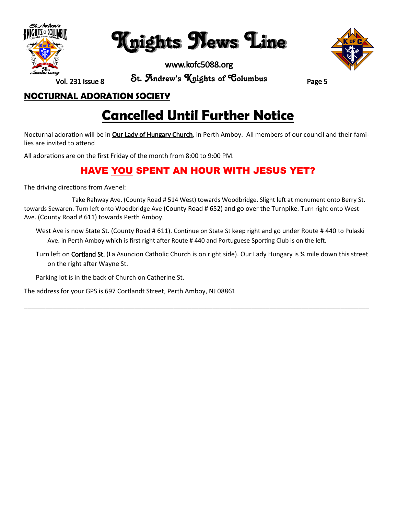

Knights News Line

www.kofc5088.org



Vol. 231 Issue 8

St. Andrew's Knights of Columbus Page 5

#### **NOCTURNAL ADORATION SOCIETY**

## **Cancelled Until Further Notice**

Nocturnal adoration will be in **Our Lady of Hungary Church**, in Perth Amboy. All members of our council and their families are invited to attend

All adorations are on the first Friday of the month from 8:00 to 9:00 PM.

### **HAVE YOU SPENT AN HOUR WITH JESUS YET?**

The driving directions from Avenel:

 Take Rahway Ave. (County Road # 514 West) towards Woodbridge. Slight left at monument onto Berry St. towards Sewaren. Turn left onto Woodbridge Ave (County Road # 652) and go over the Turnpike. Turn right onto West Ave. (County Road # 611) towards Perth Amboy.

West Ave is now State St. (County Road # 611). Continue on State St keep right and go under Route # 440 to Pulaski Ave. in Perth Amboy which is first right after Route # 440 and Portuguese Sporting Club is on the left.

Turn left on Cortland St. (La Asuncion Catholic Church is on right side). Our Lady Hungary is ¼ mile down this street on the right after Wayne St.

\_\_\_\_\_\_\_\_\_\_\_\_\_\_\_\_\_\_\_\_\_\_\_\_\_\_\_\_\_\_\_\_\_\_\_\_\_\_\_\_\_\_\_\_\_\_\_\_\_\_\_\_\_\_\_\_\_\_\_\_\_\_\_\_\_\_\_\_\_\_\_\_\_\_\_\_\_\_\_\_\_\_\_\_\_\_\_\_\_\_\_\_\_\_\_\_\_

Parking lot is in the back of Church on Catherine St.

The address for your GPS is 697 Cortlandt Street, Perth Amboy, NJ 08861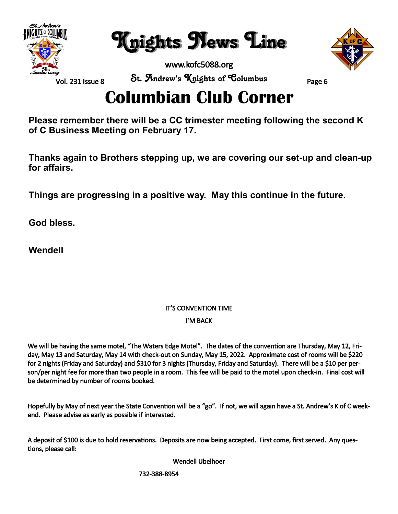

Knights News Line

www.kofc5088.org



Vol. 231 Issue 8

St. Andrew's Knights of Columbus Page 6

## **Columbian Club Corner**

**Please remember there will be a CC trimester meeting following the second K of C Business Meeting on February 17.**

**Thanks again to Brothers stepping up, we are covering our set-up and clean-up for affairs.**

**Things are progressing in a positive way. May this continue in the future.**

**God bless.**

**Wendell** 

## IT'S CONVENTION TIME

#### I'M BACK

We will be having the same motel, "The Waters Edge Motel". The dates of the convention are Thursday, May 12, Friday, May 13 and Saturday, May 14 with check-out on Sunday, May 15, 2022. Approximate cost of rooms will be \$220 for 2 nights (Friday and Saturday) and \$310 for 3 nights (Thursday, Friday and Saturday). There will be a \$10 per person/per night fee for more than two people in a room. This fee will be paid to the motel upon check-in. Final cost will be determined by number of rooms booked.

Hopefully by May of next year the State Convention will be a "go". If not, we will again have a St. Andrew's K of C weekend. Please advise as early as possible if interested.

A deposit of \$100 is due to hold reservations. Deposits are now being accepted. First come, first served. Any questions, please call:

Wendell Ubelhoer

732-388-8954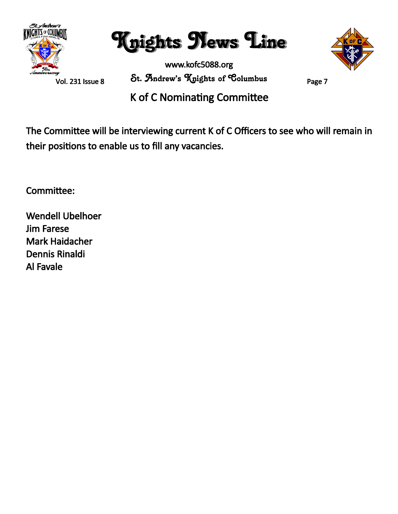

Knights News Line

www.kofc5088.org St. Andrew's Knights of Columbus Page 7



K of C Nominating Committee

The Committee will be interviewing current K of C Officers to see who will remain in their positions to enable us to fill any vacancies.

Committee:

Wendell Ubelhoer Jim Farese Mark Haidacher Dennis Rinaldi Al Favale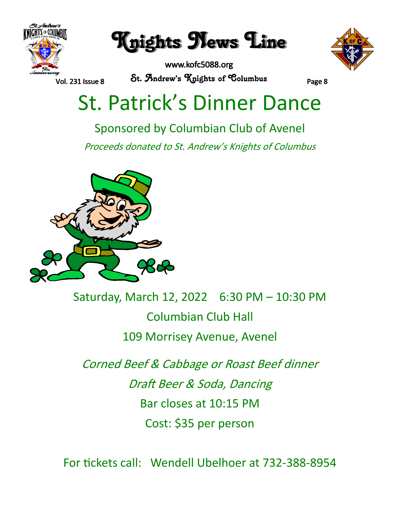

Knights News Line

www.kofc5088.org St. Andrew's Knights of Columbus Page 8



# St. Patrick's Dinner Dance

Sponsored by Columbian Club of Avenel

Proceeds donated to St. Andrew's Knights of Columbus



Saturday, March 12, 2022 6:30 PM – 10:30 PM Columbian Club Hall 109 Morrisey Avenue, Avenel

Corned Beef & Cabbage or Roast Beef dinner Draft Beer & Soda, Dancing Bar closes at 10:15 PM Cost: \$35 per person

For tickets call: Wendell Ubelhoer at 732-388-8954